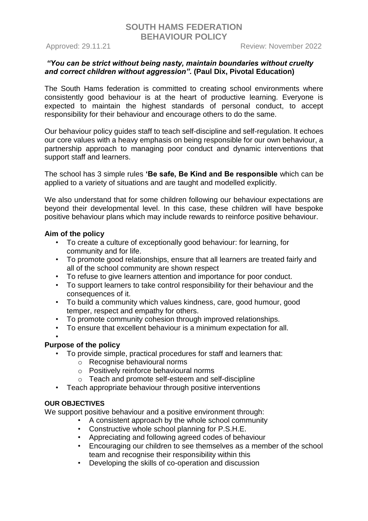Approved: 29.11.21 Review: November 2022

## *"You can be strict without being nasty, maintain boundaries without cruelty and correct children without aggression".* **(Paul Dix, Pivotal Education)**

The South Hams federation is committed to creating school environments where consistently good behaviour is at the heart of productive learning. Everyone is expected to maintain the highest standards of personal conduct, to accept responsibility for their behaviour and encourage others to do the same.

Our behaviour policy guides staff to teach self-discipline and self-regulation. It echoes our core values with a heavy emphasis on being responsible for our own behaviour, a partnership approach to managing poor conduct and dynamic interventions that support staff and learners.

The school has 3 simple rules **'Be safe, Be Kind and Be responsible** which can be applied to a variety of situations and are taught and modelled explicitly.

We also understand that for some children following our behaviour expectations are beyond their developmental level. In this case, these children will have bespoke positive behaviour plans which may include rewards to reinforce positive behaviour.

### **Aim of the policy**

- To create a culture of exceptionally good behaviour: for learning, for community and for life.
- To promote good relationships, ensure that all learners are treated fairly and all of the school community are shown respect
- To refuse to give learners attention and importance for poor conduct.
- To support learners to take control responsibility for their behaviour and the consequences of it.
- To build a community which values kindness, care, good humour, good temper, respect and empathy for others.
- To promote community cohesion through improved relationships.
- To ensure that excellent behaviour is a minimum expectation for all.

#### • **Purpose of the policy**

- To provide simple, practical procedures for staff and learners that:
	- o Recognise behavioural norms
	- o Positively reinforce behavioural norms
	- o Teach and promote self-esteem and self-discipline
- Teach appropriate behaviour through positive interventions

## **OUR OBJECTIVES**

We support positive behaviour and a positive environment through:

- A consistent approach by the whole school community
- Constructive whole school planning for P.S.H.E.
- Appreciating and following agreed codes of behaviour
- Encouraging our children to see themselves as a member of the school team and recognise their responsibility within this
- Developing the skills of co-operation and discussion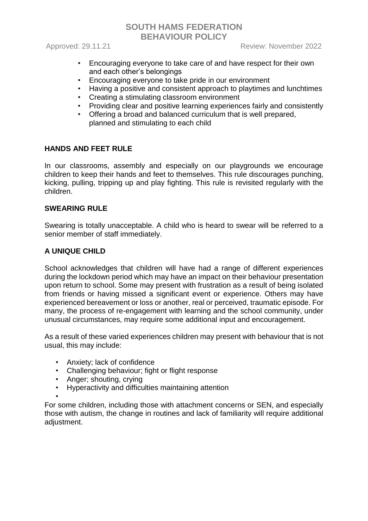Approved: 29.11.21 Review: November 2022

- Encouraging everyone to take care of and have respect for their own and each other's belongings
- Encouraging everyone to take pride in our environment
- Having a positive and consistent approach to playtimes and lunchtimes
- Creating a stimulating classroom environment
- Providing clear and positive learning experiences fairly and consistently<br>• Offering a broad and balanced curriculum that is well prepared.
- Offering a broad and balanced curriculum that is well prepared, planned and stimulating to each child

## **HANDS AND FEET RULE**

In our classrooms, assembly and especially on our playgrounds we encourage children to keep their hands and feet to themselves. This rule discourages punching, kicking, pulling, tripping up and play fighting. This rule is revisited regularly with the children.

## **SWEARING RULE**

Swearing is totally unacceptable. A child who is heard to swear will be referred to a senior member of staff immediately.

## **A UNIQUE CHILD**

School acknowledges that children will have had a range of different experiences during the lockdown period which may have an impact on their behaviour presentation upon return to school. Some may present with frustration as a result of being isolated from friends or having missed a significant event or experience. Others may have experienced bereavement or loss or another, real or perceived, traumatic episode. For many, the process of re-engagement with learning and the school community, under unusual circumstances, may require some additional input and encouragement.

As a result of these varied experiences children may present with behaviour that is not usual, this may include:

- Anxiety; lack of confidence
- Challenging behaviour; fight or flight response
- Anger; shouting, crying
- Hyperactivity and difficulties maintaining attention

• For some children, including those with attachment concerns or SEN, and especially those with autism, the change in routines and lack of familiarity will require additional adjustment.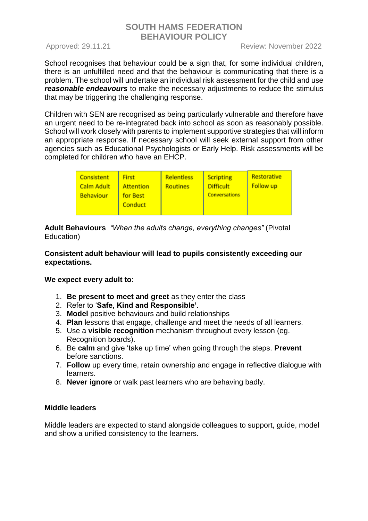School recognises that behaviour could be a sign that, for some individual children, there is an unfulfilled need and that the behaviour is communicating that there is a problem. The school will undertake an individual risk assessment for the child and use *reasonable endeavours* to make the necessary adjustments to reduce the stimulus that may be triggering the challenging response.

Children with SEN are recognised as being particularly vulnerable and therefore have an urgent need to be re-integrated back into school as soon as reasonably possible. School will work closely with parents to implement supportive strategies that will inform an appropriate response. If necessary school will seek external support from other agencies such as Educational Psychologists or Early Help. Risk assessments will be completed for children who have an EHCP.

| <b>Consistent</b><br><b>First</b><br><b>Calm Adult</b><br><b>Behaviour</b><br>for Best | Relentless<br><b>Routines</b><br><b>Attention</b><br>Conduct | <b>Scripting</b><br><b>Difficult</b><br><b>Conversations</b> | Restorative<br><b>Follow up</b> |
|----------------------------------------------------------------------------------------|--------------------------------------------------------------|--------------------------------------------------------------|---------------------------------|
|----------------------------------------------------------------------------------------|--------------------------------------------------------------|--------------------------------------------------------------|---------------------------------|

**Adult Behaviours** *"When the adults change, everything changes"* (Pivotal Education)

## **Consistent adult behaviour will lead to pupils consistently exceeding our expectations.**

## **We expect every adult to**:

- 1. **Be present to meet and greet** as they enter the class
- 2. Refer to '**Safe, Kind and Responsible'.**
- 3. **Model** positive behaviours and build relationships
- 4. **Plan** lessons that engage, challenge and meet the needs of all learners.
- 5. Use a **visible recognition** mechanism throughout every lesson (eg. Recognition boards).
- 6. Be **calm** and give 'take up time' when going through the steps. **Prevent**  before sanctions.
- 7. **Follow** up every time, retain ownership and engage in reflective dialogue with learners.
- 8. **Never ignore** or walk past learners who are behaving badly.

## **Middle leaders**

Middle leaders are expected to stand alongside colleagues to support, guide, model and show a unified consistency to the learners.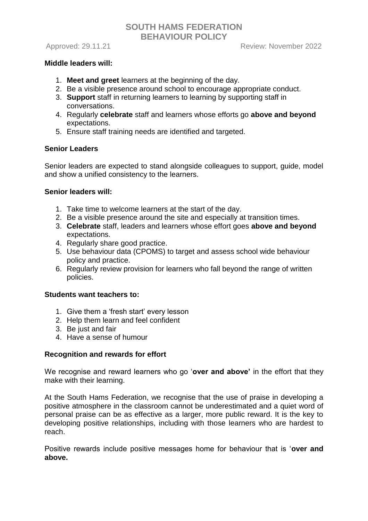### **Middle leaders will:**

- 1. **Meet and greet** learners at the beginning of the day.
- 2. Be a visible presence around school to encourage appropriate conduct.
- 3. **Support** staff in returning learners to learning by supporting staff in conversations.
- 4. Regularly **celebrate** staff and learners whose efforts go **above and beyond**  expectations.
- 5. Ensure staff training needs are identified and targeted.

### **Senior Leaders**

Senior leaders are expected to stand alongside colleagues to support, guide, model and show a unified consistency to the learners.

### **Senior leaders will:**

- 1. Take time to welcome learners at the start of the day.
- 2. Be a visible presence around the site and especially at transition times.
- 3. **Celebrate** staff, leaders and learners whose effort goes **above and beyond**  expectations.
- 4. Regularly share good practice.
- 5. Use behaviour data (CPOMS) to target and assess school wide behaviour policy and practice.
- 6. Regularly review provision for learners who fall beyond the range of written policies.

### **Students want teachers to:**

- 1. Give them a 'fresh start' every lesson
- 2. Help them learn and feel confident
- 3. Be just and fair
- 4. Have a sense of humour

## **Recognition and rewards for effort**

We recognise and reward learners who go '**over and above'** in the effort that they make with their learning.

At the South Hams Federation, we recognise that the use of praise in developing a positive atmosphere in the classroom cannot be underestimated and a quiet word of personal praise can be as effective as a larger, more public reward. It is the key to developing positive relationships, including with those learners who are hardest to reach.

Positive rewards include positive messages home for behaviour that is '**over and above.**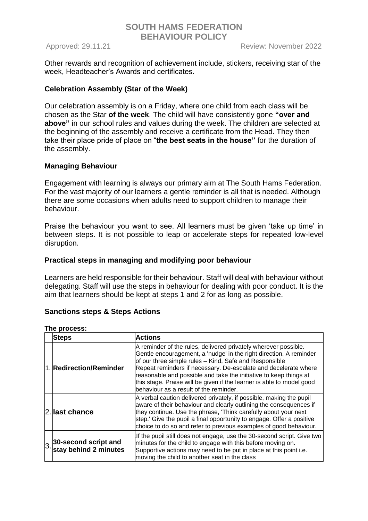Other rewards and recognition of achievement include, stickers, receiving star of the week, Headteacher's Awards and certificates.

## **Celebration Assembly (Star of the Week)**

Our celebration assembly is on a Friday, where one child from each class will be chosen as the Star **of the week**. The child will have consistently gone **"over and above"** in our school rules and values during the week. The children are selected at the beginning of the assembly and receive a certificate from the Head. They then take their place pride of place on "**the best seats in the house"** for the duration of the assembly.

## **Managing Behaviour**

Engagement with learning is always our primary aim at The South Hams Federation. For the vast majority of our learners a gentle reminder is all that is needed. Although there are some occasions when adults need to support children to manage their behaviour.

Praise the behaviour you want to see. All learners must be given 'take up time' in between steps. It is not possible to leap or accelerate steps for repeated low-level disruption.

### **Practical steps in managing and modifying poor behaviour**

Learners are held responsible for their behaviour. Staff will deal with behaviour without delegating. Staff will use the steps in behaviour for dealing with poor conduct. It is the aim that learners should be kept at steps 1 and 2 for as long as possible.

## **Sanctions steps & Steps Actions**

| The process: |
|--------------|

|    | <b>Steps</b>                                  | <b>Actions</b>                                                                                                                                                                                                                                                                                                                                                                                                                                             |
|----|-----------------------------------------------|------------------------------------------------------------------------------------------------------------------------------------------------------------------------------------------------------------------------------------------------------------------------------------------------------------------------------------------------------------------------------------------------------------------------------------------------------------|
|    | 1. Redirection/Reminder                       | A reminder of the rules, delivered privately wherever possible.<br>Gentle encouragement, a 'nudge' in the right direction. A reminder<br>of our three simple rules - Kind, Safe and Responsible<br>Repeat reminders if necessary. De-escalate and decelerate where<br>reasonable and possible and take the initiative to keep things at<br>this stage. Praise will be given if the learner is able to model good<br>behaviour as a result of the reminder. |
|    | 2. last chance                                | A verbal caution delivered privately, if possible, making the pupil<br>aware of their behaviour and clearly outlining the consequences if<br>they continue. Use the phrase, 'Think carefully about your next<br>step.' Give the pupil a final opportunity to engage. Offer a positive<br>choice to do so and refer to previous examples of good behaviour.                                                                                                 |
| 3. | 30-second script and<br>stay behind 2 minutes | If the pupil still does not engage, use the 30-second script. Give two<br>minutes for the child to engage with this before moving on.<br>Supportive actions may need to be put in place at this point i.e.<br>moving the child to another seat in the class                                                                                                                                                                                                |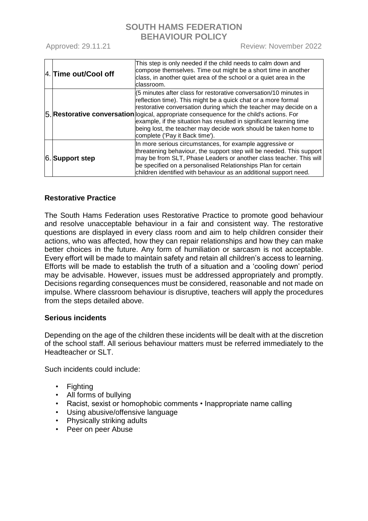Approved: 29.11.21 Review: November 2022

|  | 4. Time out/Cool off | This step is only needed if the child needs to calm down and<br>compose themselves. Time out might be a short time in another<br>class, in another quiet area of the school or a quiet area in the<br>classroom.                                                                                                                                                                                                                                                                |
|--|----------------------|---------------------------------------------------------------------------------------------------------------------------------------------------------------------------------------------------------------------------------------------------------------------------------------------------------------------------------------------------------------------------------------------------------------------------------------------------------------------------------|
|  |                      | (5 minutes after class for restorative conversation/10 minutes in<br>reflection time). This might be a quick chat or a more formal<br>restorative conversation during which the teacher may decide on a<br>5. Restorative conversation ogical, appropriate consequence for the child's actions. For<br>example, if the situation has resulted in significant learning time<br>being lost, the teacher may decide work should be taken home to<br>complete ('Pay it Back time'). |
|  | 6. Support step      | In more serious circumstances, for example aggressive or<br>threatening behaviour, the support step will be needed. This support<br>may be from SLT, Phase Leaders or another class teacher. This will<br>be specified on a personalised Relationships Plan for certain<br>children identified with behaviour as an additional support need.                                                                                                                                    |

## **Restorative Practice**

The South Hams Federation uses Restorative Practice to promote good behaviour and resolve unacceptable behaviour in a fair and consistent way. The restorative questions are displayed in every class room and aim to help children consider their actions, who was affected, how they can repair relationships and how they can make better choices in the future. Any form of humiliation or sarcasm is not acceptable. Every effort will be made to maintain safety and retain all children's access to learning. Efforts will be made to establish the truth of a situation and a 'cooling down' period may be advisable. However, issues must be addressed appropriately and promptly. Decisions regarding consequences must be considered, reasonable and not made on impulse. Where classroom behaviour is disruptive, teachers will apply the procedures from the steps detailed above.

## **Serious incidents**

Depending on the age of the children these incidents will be dealt with at the discretion of the school staff. All serious behaviour matters must be referred immediately to the Headteacher or SLT.

Such incidents could include:

- Fighting
- All forms of bullying
- Racist, sexist or homophobic comments Inappropriate name calling
- Using abusive/offensive language
- Physically striking adults
- Peer on peer Abuse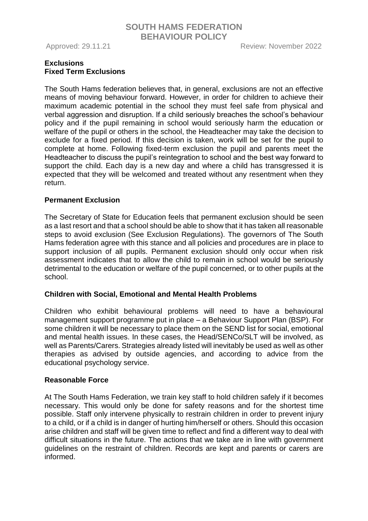Approved: 29.11.21 Review: November 2022

## **Exclusions Fixed Term Exclusions**

The South Hams federation believes that, in general, exclusions are not an effective means of moving behaviour forward. However, in order for children to achieve their maximum academic potential in the school they must feel safe from physical and verbal aggression and disruption. If a child seriously breaches the school's behaviour policy and if the pupil remaining in school would seriously harm the education or welfare of the pupil or others in the school, the Headteacher may take the decision to exclude for a fixed period. If this decision is taken, work will be set for the pupil to complete at home. Following fixed-term exclusion the pupil and parents meet the Headteacher to discuss the pupil's reintegration to school and the best way forward to support the child. Each day is a new day and where a child has transgressed it is expected that they will be welcomed and treated without any resentment when they return.

## **Permanent Exclusion**

The Secretary of State for Education feels that permanent exclusion should be seen as a last resort and that a school should be able to show that it has taken all reasonable steps to avoid exclusion (See Exclusion Regulations). The governors of The South Hams federation agree with this stance and all policies and procedures are in place to support inclusion of all pupils. Permanent exclusion should only occur when risk assessment indicates that to allow the child to remain in school would be seriously detrimental to the education or welfare of the pupil concerned, or to other pupils at the school.

## **Children with Social, Emotional and Mental Health Problems**

Children who exhibit behavioural problems will need to have a behavioural management support programme put in place – a Behaviour Support Plan (BSP). For some children it will be necessary to place them on the SEND list for social, emotional and mental health issues. In these cases, the Head/SENCo/SLT will be involved, as well as Parents/Carers. Strategies already listed will inevitably be used as well as other therapies as advised by outside agencies, and according to advice from the educational psychology service.

## **Reasonable Force**

At The South Hams Federation, we train key staff to hold children safely if it becomes necessary. This would only be done for safety reasons and for the shortest time possible. Staff only intervene physically to restrain children in order to prevent injury to a child, or if a child is in danger of hurting him/herself or others. Should this occasion arise children and staff will be given time to reflect and find a different way to deal with difficult situations in the future. The actions that we take are in line with government guidelines on the restraint of children. Records are kept and parents or carers are informed.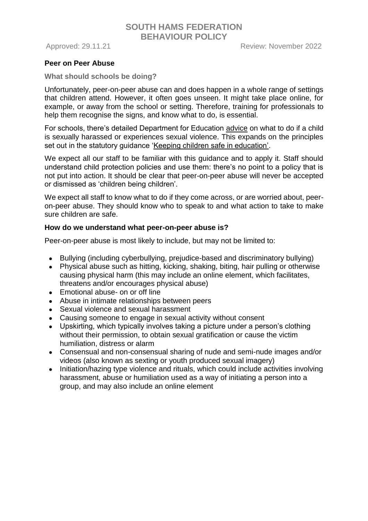### **Peer on Peer Abuse**

#### **What should schools be doing?**

Unfortunately, peer-on-peer abuse can and does happen in a whole range of settings that children attend. However, it often goes unseen. It might take place online, for example, or away from the school or setting. Therefore, training for professionals to help them recognise the signs, and know what to do, is essential.

For schools, there's detailed Department for Education [advice](https://www.gov.uk/government/publications/sexual-violence-and-sexual-harassment-between-children-in-schools-and-colleges) on what to do if a child is sexually harassed or experiences sexual violence. This expands on the principles set out in the statutory guidance ['Keeping children safe in education'.](https://www.gov.uk/government/publications/keeping-children-safe-in-education--2)

We expect all our staff to be familiar with this guidance and to apply it. Staff should understand child protection policies and use them: there's no point to a policy that is not put into action. It should be clear that peer-on-peer abuse will never be accepted or dismissed as 'children being children'.

We expect all staff to know what to do if they come across, or are worried about, peeron-peer abuse. They should know who to speak to and what action to take to make sure children are safe.

#### **How do we understand what peer-on-peer abuse is?**

Peer-on-peer abuse is most likely to include, but may not be limited to:

- Bullying (including cyberbullying, prejudice-based and discriminatory bullying)
- Physical abuse such as hitting, kicking, shaking, biting, hair pulling or otherwise causing physical harm (this may include an online element, which facilitates, threatens and/or encourages physical abuse)
- Emotional abuse- on or off line
- Abuse in intimate relationships between peers
- Sexual violence and sexual harassment
- Causing someone to engage in sexual activity without consent
- Upskirting, which typically involves taking a picture under a person's clothing without their permission, to obtain sexual gratification or cause the victim humiliation, distress or alarm
- Consensual and non-consensual sharing of nude and semi-nude images and/or videos (also known as sexting or youth produced sexual imagery)
- Initiation/hazing type violence and rituals, which could include activities involving harassment, abuse or humiliation used as a way of initiating a person into a group, and may also include an online element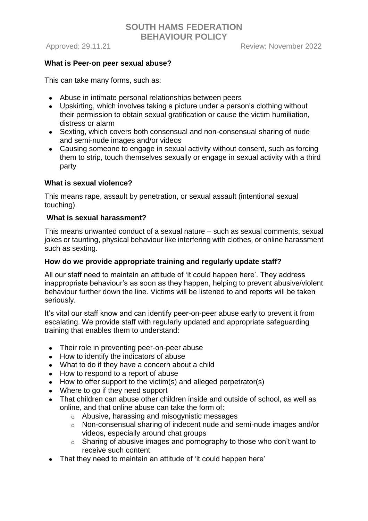### **What is Peer-on peer sexual abuse?**

This can take many forms, such as:

- Abuse in intimate personal relationships between peers
- Upskirting, which involves taking a picture under a person's clothing without their permission to obtain sexual gratification or cause the victim humiliation, distress or alarm
- Sexting, which covers both consensual and non-consensual sharing of nude and semi-nude images and/or videos
- Causing someone to engage in sexual activity without consent, such as forcing them to strip, touch themselves sexually or engage in sexual activity with a third party

### **What is sexual violence?**

This means rape, assault by penetration, or sexual assault (intentional sexual touching).

### **What is sexual harassment?**

This means unwanted conduct of a sexual nature – such as sexual comments, sexual jokes or taunting, physical behaviour like interfering with clothes, or online harassment such as sexting.

### **How do we provide appropriate training and regularly update staff?**

All our staff need to maintain an attitude of 'it could happen here'. They address inappropriate behaviour's as soon as they happen, helping to prevent abusive/violent behaviour further down the line. Victims will be listened to and reports will be taken seriously.

It's vital our staff know and can identify peer-on-peer abuse early to prevent it from escalating. We provide staff with regularly updated and appropriate safeguarding training that enables them to understand:

- Their role in preventing peer-on-peer abuse
- How to identify the indicators of abuse
- What to do if they have a concern about a child
- How to respond to a report of abuse
- $\bullet$  How to offer support to the victim(s) and alleged perpetrator(s)
- Where to go if they need support
- That children can abuse other children inside and outside of school, as well as online, and that online abuse can take the form of:
	- o Abusive, harassing and misogynistic messages
	- o Non-consensual sharing of indecent nude and semi-nude images and/or videos, especially around chat groups
	- $\circ$  Sharing of abusive images and pornography to those who don't want to receive such content
- That they need to maintain an attitude of 'it could happen here'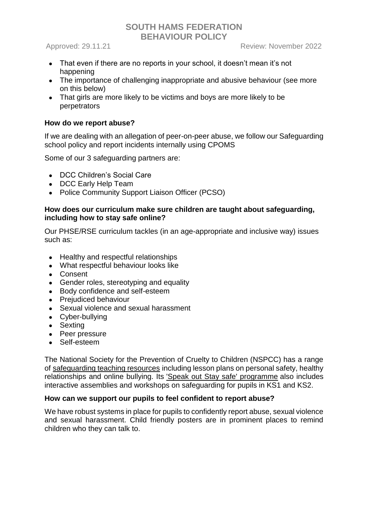- That even if there are no reports in your school, it doesn't mean it's not happening
- The importance of challenging inappropriate and abusive behaviour (see more on this below)
- That girls are more likely to be victims and boys are more likely to be perpetrators

## **How do we report abuse?**

If we are dealing with an allegation of peer-on-peer abuse, we follow our Safeguarding school policy and report incidents internally using CPOMS

Some of our 3 safeguarding partners are:

- DCC Children's Social Care
- DCC Early Help Team
- Police Community Support Liaison Officer (PCSO)

### **How does our curriculum make sure children are taught about safeguarding, including how to stay safe online?**

Our PHSE/RSE curriculum tackles (in an age-appropriate and inclusive way) issues such as:

- Healthy and respectful relationships
- What respectful behaviour looks like
- Consent
- Gender roles, stereotyping and equality
- Body confidence and self-esteem
- Prejudiced behaviour
- Sexual violence and sexual harassment
- Cyber-bullying
- Sexting
- Peer pressure
- Self-esteem

The National Society for the Prevention of Cruelty to Children (NSPCC) has a range of [safeguarding teaching resources](https://learning.nspcc.org.uk/safeguarding-child-protection-schools/teaching-resources-lesson-plans/) including lesson plans on personal safety, healthy relationships and online bullying. Its ['Speak out Stay safe' programme](https://learning.nspcc.org.uk/services/speak-out-stay-safe) also includes interactive assemblies and workshops on safeguarding for pupils in KS1 and KS2.

#### **How can we support our pupils to feel confident to report abuse?**

We have robust systems in place for pupils to confidently report abuse, sexual violence and sexual harassment. Child friendly posters are in prominent places to remind children who they can talk to.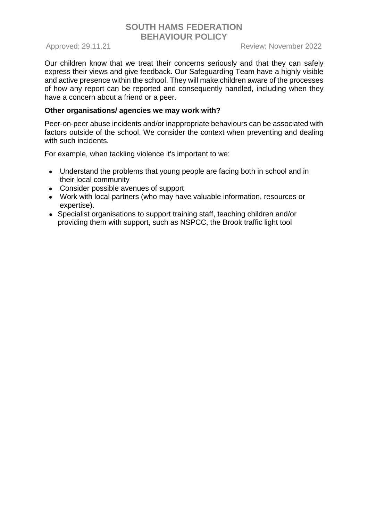Our children know that we treat their concerns seriously and that they can safely express their views and give feedback. Our Safeguarding Team have a highly visible and active presence within the school. They will make children aware of the processes of how any report can be reported and consequently handled, including when they have a concern about a friend or a peer.

### **Other organisations/ agencies we may work with?**

Peer-on-peer abuse incidents and/or inappropriate behaviours can be associated with factors outside of the school. We consider the context when preventing and dealing with such incidents.

For example, when tackling violence it's important to we:

- Understand the problems that young people are facing both in school and in their local community
- Consider possible avenues of support
- Work with local partners (who may have valuable information, resources or expertise).
- Specialist organisations to support training staff, teaching children and/or providing them with support, such as NSPCC, the Brook traffic light tool